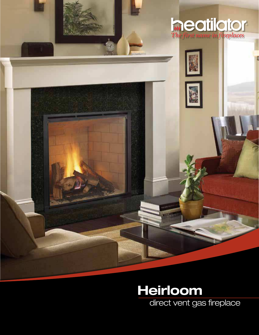

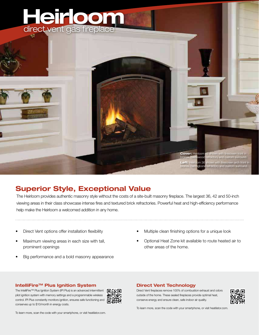

# **Superior Style, Exceptional Value**

The Heirloom provides authentic masonry style without the costs of a site-built masonry fireplace. The largest 36, 42 and 50-inch viewing areas in their class showcase intense fires and textured brick refractories. Powerful heat and high-efficiency performance help make the Heirloom a welcomed addition in any home.

- Direct Vent options offer installation flexibility
- Maximum viewing areas in each size with tall, prominent openings
- Big performance and a bold masonry appearance
- Multiple clean finishing options for a unique look
- Optional Heat Zone kit available to route heated air to other areas of the home.

#### **IntelliFireTM Plus Ignition System**

The IntelliFire™ Plus Ignition System (IPI Plus) is an advanced intermittent pilot ignition system with memory settings and a programmable wireless control. IPI Plus constantly monitors ignition, ensures safe functioning and conserves up to \$10/month in energy costs.



#### **Direct Vent Technology**

Direct Vent fireplaces remove 100% of combustion exhaust and odors outside of the home. These sealed fireplaces provide optimal heat, conserve energy and ensure clean, safe indoor air quality.



To learn more, scan the code with your smartphone, or visit heatilator.com.

To learn more, scan the code with your smartphone, or visit heatilator.com.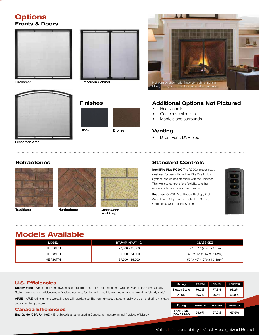### **Options Fronts & Doors**



Firescreen



Firescreen Arch

#### **Refractories**





**Finishes**

Black Bronze

Firescreen Cabinet



Traditional Castlewood Herringbone (As a kit only)



#### **Additional Options Not Pictured**

- Heat Zone kit
- Gas conversion kits
- Mantels and surrounds

#### **Venting**

Direct Vent: DVP pipe

#### **Standard Controls**

**IntelliFire Plus RC200** The RC200 is specifically designed for use with the IntelliFire Plus Ignition System, and comes standard with the Heirloom. This wireless control offers flexibility to either mount on the wall or use as a remote.

**Features:** On/Off, Auto Battery Backup, Pilot Activation, 5-Step Flame Height, Fan Speed, Child Lock, Wall Docking Station



## **Models Available**

| <b>MODEL</b> | BTU/HR INPUT(NG) | <b>GLASS SIZE</b>         |
|--------------|------------------|---------------------------|
| HEIR36T/H    | 27,000 - 45,000  | 36" x 31" (914 x 787mm)   |
| HEIR42T/H    | 30.000 - 54.000  | 42" x 36" (1067 x 914mm)  |
| HEIR50T/H    | 37,000 - 65,000  | 50" x 40" (1270 x 1016mm) |

#### **U.S. Efficiencies**

**Steady State -** Since most homeowners use their fireplaces for an extended time while they are in the room, Steady State measures how efficiently your fireplace converts fuel to heat once it is warmed up and running in a "steady state".

**AFUE -** AFUE rating is more typically used with appliances, like your furnace, that continually cycle on and off to maintain a constant temperature.

#### **Canada Efficiencies**

**EnerGuide (CSA P.4.1-02) -** EnerGuide is a rating used in Canada to measure annual fireplace efficiency.

| Rating              | HEIR36T/H | HEIR42T/H | HEIR50T/H |
|---------------------|-----------|-----------|-----------|
| <b>Steady State</b> | 76.2%     | 77.2%     | 68.2%     |
| AFUE                | 56.7%     | 66.7%     |           |
|                     |           |           |           |
|                     |           |           |           |
| Rating              | HEIR36T/H | HEIR42T/H | HEIR50T/H |